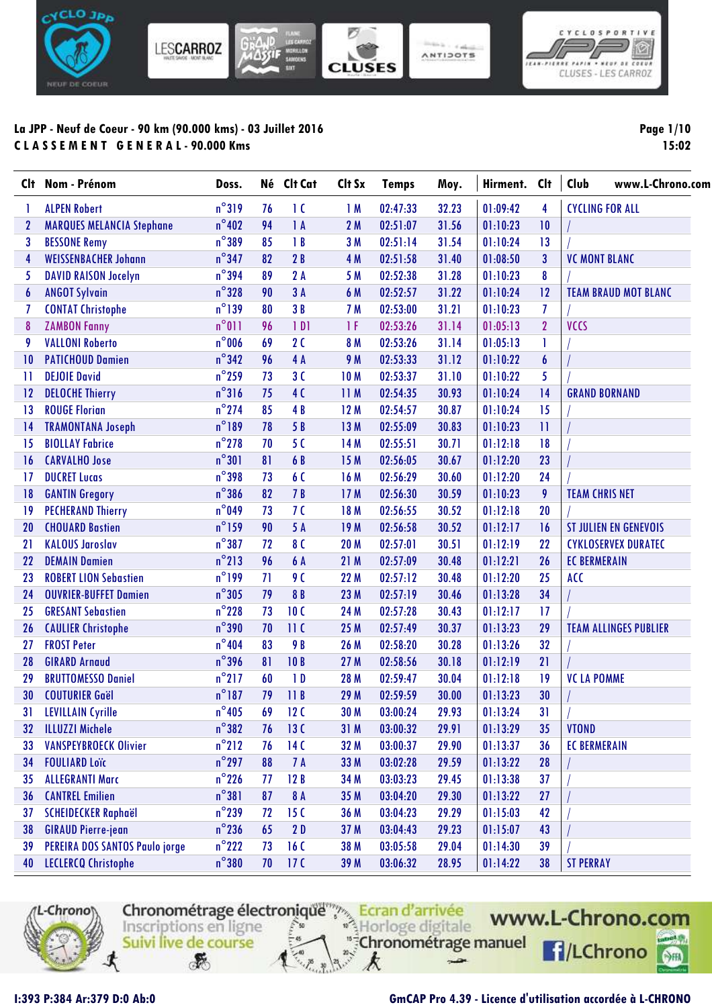



ANTIDOTS

# **La JPP - Neuf de Coeur - 90 km (90.000 kms) - 03 Juillet 2016 C L A S S E M E N T G E N E R A L - 90.000 Kms**

**Page 1/10 15:02**

| Clt              | Nom - Prénom                     | Doss.           | Né | Clt Cat          | Clt Sx          | <b>Temps</b> | Moy.  | Hirment. | <b>Clt</b>     | www.L-Chrono.com<br>Club     |
|------------------|----------------------------------|-----------------|----|------------------|-----------------|--------------|-------|----------|----------------|------------------------------|
|                  | <b>ALPEN Robert</b>              | $n^{\circ}319$  | 76 | $\overline{1}$ C | 1M              | 02:47:33     | 32.23 | 01:09:42 | 4              | <b>CYCLING FOR ALL</b>       |
| $\mathbf{2}$     | <b>MARQUES MELANCIA Stephane</b> | $n^{\circ}402$  | 94 | 1A               | 2M              | 02:51:07     | 31.56 | 01:10:23 | 10             |                              |
| 3                | <b>BESSONE Remy</b>              | $n^{\circ}389$  | 85 | 1B               | 3M              | 02:51:14     | 31.54 | 01:10:24 | 13             |                              |
| $\overline{4}$   | <b>WEISSENBACHER Johann</b>      | $n^{\circ}$ 347 | 82 | 2B               | 4 M             | 02:51:58     | 31.40 | 01:08:50 | 3              | <b>VC MONT BLANC</b>         |
| 5                | <b>DAVID RAISON Jocelyn</b>      | $n^{\circ}$ 394 | 89 | 2A               | 5 M             | 02:52:38     | 31.28 | 01:10:23 | 8              |                              |
| $\boldsymbol{6}$ | <b>ANGOT Sylvain</b>             | $n^{\circ}328$  | 90 | 3A               | 6 M             | 02:52:57     | 31.22 | 01:10:24 | 12             | <b>TEAM BRAUD MOT BLANC</b>  |
| 7                | <b>CONTAT Christophe</b>         | $n^{\circ}$ 139 | 80 | 3B               | 7 M             | 02:53:00     | 31.21 | 01:10:23 | 7              |                              |
| 8                | <b>ZAMBON Fanny</b>              | $n^{\circ}011$  | 96 | 1 <sub>D1</sub>  | 1F              | 02:53:26     | 31.14 | 01:05:13 | $\overline{2}$ | <b>VCCS</b>                  |
| 9                | <b>VALLONI Roberto</b>           | $n^{\circ}$ 006 | 69 | 2C               | 8 M             | 02:53:26     | 31.14 | 01:05:13 | 1              |                              |
| $\overline{10}$  | <b>PATICHOUD Damien</b>          | $n^{\circ}342$  | 96 | 4A               | 9 M             | 02:53:33     | 31.12 | 01:10:22 | 6              |                              |
| $\mathbf{1}$     | <b>DEJOIE David</b>              | $n^{\circ}$ 259 | 73 | 3C               | 10 <sub>M</sub> | 02:53:37     | 31.10 | 01:10:22 | 5              |                              |
| 12               | <b>DELOCHE Thierry</b>           | $n^{\circ}316$  | 75 | 4 <sub>0</sub>   | 11M             | 02:54:35     | 30.93 | 01:10:24 | 14             | <b>GRAND BORNAND</b>         |
| 13               | <b>ROUGE Florian</b>             | $n^{\circ}$ 274 | 85 | 4B               | 12M             | 02:54:57     | 30.87 | 01:10:24 | 15             |                              |
| $\overline{14}$  | <b>TRAMONTANA Joseph</b>         | $n^{\circ}189$  | 78 | 5 B              | 13M             | 02:55:09     | 30.83 | 01:10:23 | $\mathbf{H}$   |                              |
| 15               | <b>BIOLLAY Fabrice</b>           | $n^{\circ}$ 278 | 70 | 50               | 14 M            | 02:55:51     | 30.71 | 01:12:18 | 18             |                              |
| 16               | <b>CARVALHO Jose</b>             | $n^{\circ}301$  | 81 | 6 B              | 15M             | 02:56:05     | 30.67 | 01:12:20 | 23             |                              |
| 17               | <b>DUCRET Lucas</b>              | $n^{\circ}$ 398 | 73 | 6C               | 16 M            | 02:56:29     | 30.60 | 01:12:20 | 24             |                              |
| 18               | <b>GANTIN Gregory</b>            | $n^{\circ}$ 386 | 82 | 7B               | 17M             | 02:56:30     | 30.59 | 01:10:23 | 9              | <b>TEAM CHRIS NET</b>        |
| 19               | <b>PECHERAND Thierry</b>         | $n^{\circ}$ 049 | 73 | 7 <sub>0</sub>   | 18 M            | 02:56:55     | 30.52 | 01:12:18 | 20             |                              |
| 20               | <b>CHOUARD Bastien</b>           | $n^{\circ}$ 159 | 90 | 5 A              | 19M             | 02:56:58     | 30.52 | 01:12:17 | 16             | <b>ST JULIEN EN GENEVOIS</b> |
| 21               | <b>KALOUS Jaroslav</b>           | $n^{\circ}387$  | 72 | 8 C              | <b>20 M</b>     | 02:57:01     | 30.51 | 01:12:19 | 22             | <b>CYKLOSERVEX DURATEC</b>   |
| 22               | <b>DEMAIN Damien</b>             | $n^{\circ}$ 213 | 96 | 6 A              | 21M             | 02:57:09     | 30.48 | 01:12:21 | 26             | <b>EC BERMERAIN</b>          |
| 23               | <b>ROBERT LION Sebastien</b>     | $n^{\circ}$ 199 | 71 | 9 <sub>0</sub>   | 22 M            | 02:57:12     | 30.48 | 01:12:20 | 25             | <b>ACC</b>                   |
| 24               | <b>OUVRIER-BUFFET Damien</b>     | $n^{\circ}305$  | 79 | 8B               | 23 M            | 02:57:19     | 30.46 | 01:13:28 | 34             |                              |
| 25               | <b>GRESANT Sebastien</b>         | $n^{\circ}$ 228 | 73 | 10 <sub>C</sub>  | 24 M            | 02:57:28     | 30.43 | 01:12:17 | 17             |                              |
| 26               | <b>CAULIER Christophe</b>        | $n^{\circ}$ 390 | 70 | 11C              | 25 M            | 02:57:49     | 30.37 | 01:13:23 | 29             | <b>TEAM ALLINGES PUBLIER</b> |
| 27               | <b>FROST Peter</b>               | $n^{\circ}$ 404 | 83 | 9 B              | 26 M            | 02:58:20     | 30.28 | 01:13:26 | 32             |                              |
| 28               | <b>GIRARD Arnaud</b>             | $n^{\circ}$ 396 | 81 | 10B              | 27 M            | 02:58:56     | 30.18 | 01:12:19 | 21             |                              |
| 29               | <b>BRUTTOMESSO Daniel</b>        | $n^{\circ}$ 217 | 60 | 1D               | 28 M            | 02:59:47     | 30.04 | 01:12:18 | 19             | <b>VC LA POMME</b>           |
| 30               | <b>COUTURIER Gaël</b>            | $n^{\circ}$ 187 | 79 | 11B              | 29 M            | 02:59:59     | 30.00 | 01:13:23 | 30             |                              |
| 31               | <b>LEVILLAIN Cyrille</b>         | $n^{\circ}405$  | 69 | 12 <sub>C</sub>  | 30 M            | 03:00:24     | 29.93 | 01:13:24 | 31             |                              |
| 32               | <b>ILLUZZI Michele</b>           | $n^{\circ}382$  | 76 | 13C              | 31M             | 03:00:32     | 29.91 | 01:13:29 | 35             | <b>VTOND</b>                 |
| 33               | <b>VANSPEYBROECK Olivier</b>     | $n^{\circ}$ 212 | 76 | 14C              | 32 M            | 03:00:37     | 29.90 | 01:13:37 | 36             | <b>EC BERMERAIN</b>          |
| 34               | <b>FOULIARD Loïc</b>             | $n^{\circ}$ 297 | 88 | 7 A              | 33 M            | 03:02:28     | 29.59 | 01:13:22 | 28             |                              |
| 35               | <b>ALLEGRANTI Marc</b>           | $n^{\circ}$ 226 | 77 | 12B              | 34 M            | 03:03:23     | 29.45 | 01:13:38 | 37             |                              |
| 36               | <b>CANTREL Emilien</b>           | $n^{\circ}381$  | 87 | 8 A              | 35 M            | 03:04:20     | 29.30 | 01:13:22 | 27             |                              |
| 37               | <b>SCHEIDECKER Raphaël</b>       | $n^{\circ}$ 239 | 72 | 15 <sub>C</sub>  | 36 M            | 03:04:23     | 29.29 | 01:15:03 | 42             |                              |
| 38               | <b>GIRAUD Pierre-jean</b>        | $n^{\circ}$ 236 | 65 | 2D               | 37 M            | 03:04:43     | 29.23 | 01:15:07 | 43             |                              |
| 39               | PEREIRA DOS SANTOS Paulo jorge   | $n^{\circ}$ 222 | 73 | 16C              | 38 M            | 03:05:58     | 29.04 | 01:14:30 | 39             |                              |
| 40               | <b>LECLERCQ Christophe</b>       | $n^{\circ}$ 380 | 70 | 17 <sup>C</sup>  | 39 M            | 03:06:32     | 28.95 | 01:14:22 | 38             | <b>ST PERRAY</b>             |



Chronométrage électronique de la d'arrivée digitale WWI<br>
Inscriptions en ligne<br>
Suivi live de course ⊀  $\mathcal{F}$ 

 $\rightarrow$ 

k

www.L-Chrono.com **F**/LChrono  $\circ$ 

#### **I:393 P:384 Ar:379 D:0 Ab:0 GmCAP Pro 4.39 - Licence d'utilisation accordée à L-CHRONO**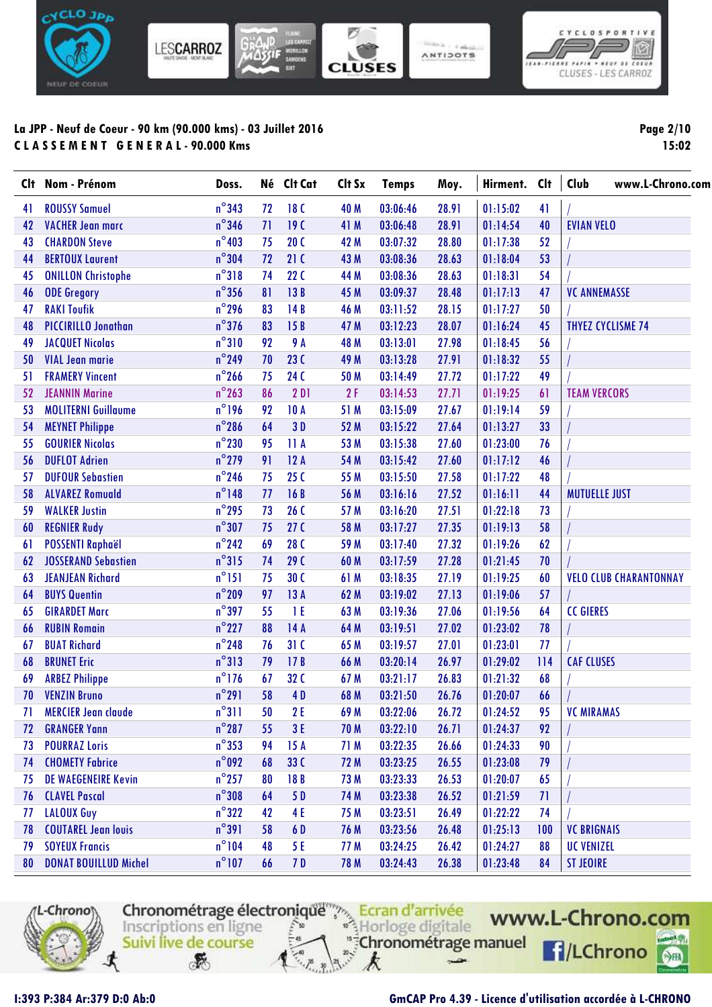

**Page 2/10 15:02**

 $\boxed{\circ}$ 

| Clt | Nom - Prénom                 | Doss.           | Né | Clt Cat         | Clt Sx | <b>Temps</b> | Moy.  | Hirment. | <b>Clt</b> | Club<br>www.L-Chrono.com      |
|-----|------------------------------|-----------------|----|-----------------|--------|--------------|-------|----------|------------|-------------------------------|
| 41  | <b>ROUSSY Samuel</b>         | $n^{\circ}$ 343 | 72 | 18 <sub>C</sub> | 40 M   | 03:06:46     | 28.91 | 01:15:02 | 41         |                               |
| 42  | <b>VACHER Jean marc</b>      | $n^{\circ}$ 346 | 71 | 19C             | 41 M   | 03:06:48     | 28.91 | 01:14:54 | 40         | <b>EVIAN VELO</b>             |
| 43  | <b>CHARDON Steve</b>         | $n^{\circ}403$  | 75 | 20C             | 42 M   | 03:07:32     | 28.80 | 01:17:38 | 52         |                               |
| 44  | <b>BERTOUX Laurent</b>       | $n^{\circ}$ 304 | 72 | 21C             | 43 M   | 03:08:36     | 28.63 | 01:18:04 | 53         |                               |
| 45  | <b>ONILLON Christophe</b>    | $n^{\circ}318$  | 74 | 22C             | 44 M   | 03:08:36     | 28.63 | 01:18:31 | 54         |                               |
| 46  | <b>ODE Gregory</b>           | $n^{\circ}$ 356 | 81 | 13B             | 45 M   | 03:09:37     | 28.48 | 01:17:13 | 47         | <b>VC ANNEMASSE</b>           |
| 47  | <b>RAKI Toufik</b>           | $n^{\circ}$ 296 | 83 | 14B             | 46 M   | 03:11:52     | 28.15 | 01:17:27 | 50         |                               |
| 48  | <b>PICCIRILLO Jonathan</b>   | $n^{\circ}$ 376 | 83 | 15B             | 47 M   | 03:12:23     | 28.07 | 01:16:24 | 45         | <b>THYEZ CYCLISME 74</b>      |
| 49  | <b>JACQUET Nicolas</b>       | $n^{\circ}310$  | 92 | 9 A             | 48 M   | 03:13:01     | 27.98 | 01:18:45 | 56         |                               |
| 50  | <b>VIAL Jean marie</b>       | $n^{\circ}$ 249 | 70 | <b>23 C</b>     | 49 M   | 03:13:28     | 27.91 | 01:18:32 | 55         |                               |
| 51  | <b>FRAMERY Vincent</b>       | $n^{\circ}$ 266 | 75 | <b>24 C</b>     | 50 M   | 03:14:49     | 27.72 | 01:17:22 | 49         |                               |
| 52  | <b>JEANNIN Marine</b>        | $n^{\circ}$ 263 | 86 | 2D1             | 2F     | 03:14:53     | 27.71 | 01:19:25 | 61         | <b>TEAM VERCORS</b>           |
| 53  | <b>MOLITERNI Guillaume</b>   | $n^{\circ}$ 196 | 92 | <b>10 A</b>     | 51 M   | 03:15:09     | 27.67 | 01:19:14 | 59         |                               |
| 54  | <b>MEYNET Philippe</b>       | $n^{\circ}$ 286 | 64 | 3D              | 52 M   | 03:15:22     | 27.64 | 01:13:27 | 33         |                               |
| 55  | <b>GOURIER Nicolas</b>       | $n^{\circ}$ 230 | 95 | 11A             | 53 M   | 03:15:38     | 27.60 | 01:23:00 | 76         |                               |
| 56  | <b>DUFLOT Adrien</b>         | $n^{\circ}$ 279 | 91 | 12A             | 54 M   | 03:15:42     | 27.60 | 01:17:12 | 46         |                               |
| 57  | <b>DUFOUR Sebastien</b>      | $n^{\circ}$ 246 | 75 | 25C             | 55 M   | 03:15:50     | 27.58 | 01:17:22 | 48         |                               |
| 58  | <b>ALVAREZ Romuald</b>       | $n^{\circ}$ 148 | 77 | 16B             | 56 M   | 03:16:16     | 27.52 | 01:16:11 | 44         | <b>MUTUELLE JUST</b>          |
| 59  | <b>WALKER Justin</b>         | $n^{\circ}$ 295 | 73 | 26C             | 57 M   | 03:16:20     | 27.51 | 01:22:18 | 73         |                               |
| 60  | <b>REGNIER Rudy</b>          | $n^{\circ}307$  | 75 | 27 <sub>C</sub> | 58 M   | 03:17:27     | 27.35 | 01:19:13 | 58         |                               |
| 61  | <b>POSSENTI Raphaël</b>      | $n^{\circ}$ 242 | 69 | <b>28 C</b>     | 59 M   | 03:17:40     | 27.32 | 01:19:26 | 62         |                               |
| 62  | <b>JOSSERAND Sebastien</b>   | $n^{\circ}315$  | 74 | <b>29 C</b>     | 60 M   | 03:17:59     | 27.28 | 01:21:45 | 70         |                               |
| 63  | <b>JEANJEAN Richard</b>      | $n^{\circ}$ 151 | 75 | 30 <sub>C</sub> | 61 M   | 03:18:35     | 27.19 | 01:19:25 | 60         | <b>VELO CLUB CHARANTONNAY</b> |
| 64  | <b>BUYS Quentin</b>          | $n^{\circ}$ 209 | 97 | 13A             | 62 M   | 03:19:02     | 27.13 | 01:19:06 | 57         |                               |
| 65  | <b>GIRARDET Marc</b>         | $n^{\circ}$ 397 | 55 | 1 E             | 63 M   | 03:19:36     | 27.06 | 01:19:56 | 64         | <b>CC GIERES</b>              |
| 66  | <b>RUBIN Romain</b>          | $n^{\circ}$ 227 | 88 | 14A             | 64 M   | 03:19:51     | 27.02 | 01:23:02 | 78         |                               |
| 67  | <b>BUAT Richard</b>          | $n^{\circ}$ 248 | 76 | 31C             | 65 M   | 03:19:57     | 27.01 | 01:23:01 | 77         |                               |
| 68  | <b>BRUNET Eric</b>           | $n^{\circ}313$  | 79 | 17B             | 66 M   | 03:20:14     | 26.97 | 01:29:02 | 114        | <b>CAF CLUSES</b>             |
| 69  | <b>ARBEZ Philippe</b>        | $n^{\circ}$ 176 | 67 | 32 C            | 67 M   | 03:21:17     | 26.83 | 01:21:32 | 68         |                               |
| 70  | <b>VENZIN Bruno</b>          | $n^{\circ}291$  | 58 | 4D              | 68 M   | 03:21:50     | 26.76 | 01:20:07 | 66         |                               |
| 71  | <b>MERCIER Jean claude</b>   | $n^{\circ}311$  | 50 | 2E              | 69 M   | 03:22:06     | 26.72 | 01:24:52 | 95         | <b>VC MIRAMAS</b>             |
| 72  | <b>GRANGER Yann</b>          | $n^{\circ}287$  | 55 | 3E              | 70 M   | 03:22:10     | 26.71 | 01:24:37 | 92         |                               |
| 73  | <b>POURRAZ Loris</b>         | $n^{\circ}$ 353 | 94 | 15A             | 71 M   | 03:22:35     | 26.66 | 01:24:33 | 90         |                               |
| 74  | <b>CHOMETY Fabrice</b>       | $n^{\circ}$ 092 | 68 | 33C             | 72 M   | 03:23:25     | 26.55 | 01:23:08 | 79         |                               |
| 75  | <b>DE WAEGENEIRE Kevin</b>   | $n^{\circ}$ 257 | 80 | 18B             | 73 M   | 03:23:33     | 26.53 | 01:20:07 | 65         |                               |
| 76  | <b>CLAVEL Pascal</b>         | $n^{\circ}308$  | 64 | 5 D             | 74 M   | 03:23:38     | 26.52 | 01:21:59 | 71         |                               |
| 77  | LALOUX Guy                   | $n^{\circ}322$  | 42 | 4 E             | 75 M   | 03:23:51     | 26.49 | 01:22:22 | 74         |                               |
| 78  | <b>COUTAREL Jean louis</b>   | $n^{\circ}391$  | 58 | 6 D             | 76 M   | 03:23:56     | 26.48 | 01:25:13 | 100        | <b>VC BRIGNAIS</b>            |
| 79  | <b>SOYEUX Francis</b>        | $n^{\circ}104$  | 48 | 5 E             | 77 M   | 03:24:25     | 26.42 | 01:24:27 | 88         | <b>UC VENIZEL</b>             |
| 80  | <b>DONAT BOUILLUD Michel</b> | $n^{\circ}107$  | 66 | 7 D             | 78 M   | 03:24:43     | 26.38 | 01:23:48 | 84         | <b>ST JEOIRE</b>              |



Chronométrage électronique<sup>mpa</sup> Ecran d'arrivée "<sup>#</sup>Chronométrage manuel Suivi live de course  $\mathcal{F}$ k  $\rightarrow$ 

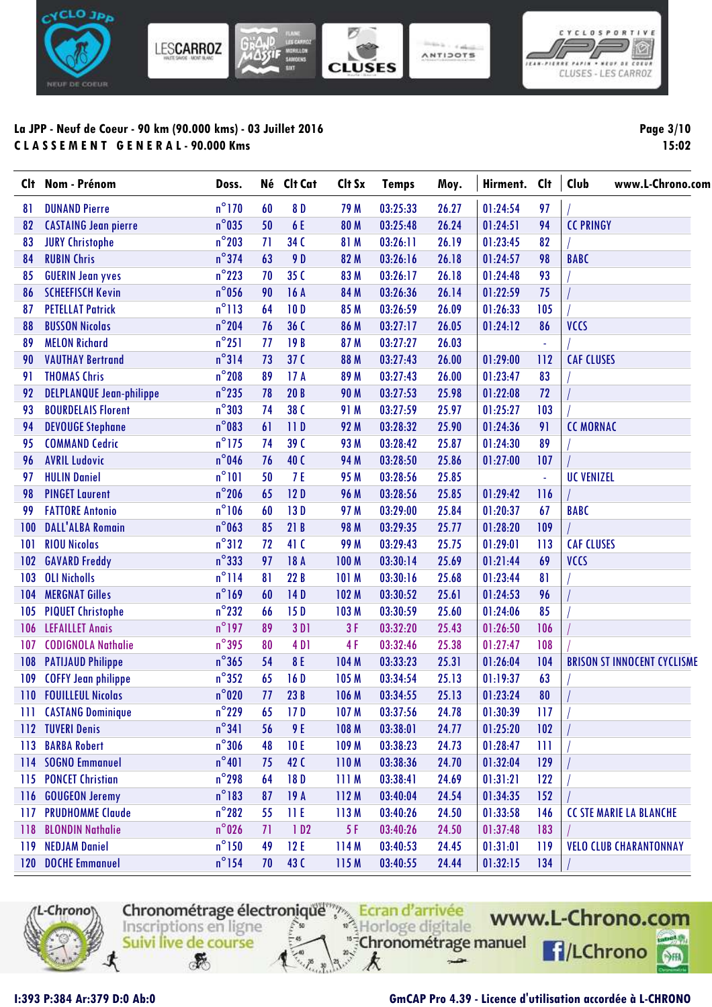

| Page 3/10 |       |
|-----------|-------|
|           | 15:02 |

 $\big| \mathbf{0}$ 

NEUF OF COEUR

| <b>C</b> It | Nom - Prénom                    | Doss.           |    | Né Clt Cat       | Clt Sx      | <b>Temps</b> | Moy.  | Hirment. | <b>Clt</b>     | Club<br>www.L-Chrono.com           |
|-------------|---------------------------------|-----------------|----|------------------|-------------|--------------|-------|----------|----------------|------------------------------------|
| 81          | <b>DUNAND Pierre</b>            | $n^{\circ}$ 170 | 60 | 8 D              | 79 M        | 03:25:33     | 26.27 | 01:24:54 | 97             |                                    |
| 82          | <b>CASTAING Jean pierre</b>     | $n^{\circ}$ 035 | 50 | 6 E              | 80 M        | 03:25:48     | 26.24 | 01:24:51 | 94             | <b>CC PRINGY</b>                   |
| 83          | <b>JURY Christophe</b>          | $n^{\circ}$ 203 | 71 | 34 C             | 81 M        | 03:26:11     | 26.19 | 01:23:45 | 82             |                                    |
| 84          | <b>RUBIN Chris</b>              | $n^{\circ}$ 374 | 63 | 9 D              | 82 M        | 03:26:16     | 26.18 | 01:24:57 | 98             | <b>BABC</b>                        |
| 85          | <b>GUERIN Jean yves</b>         | $n^{\circ}$ 223 | 70 | 35 C             | 83 M        | 03:26:17     | 26.18 | 01:24:48 | 93             |                                    |
| 86          | <b>SCHEEFISCH Kevin</b>         | $n^{\circ}$ 056 | 90 | 16A              | 84 M        | 03:26:36     | 26.14 | 01:22:59 | 75             |                                    |
| 87          | <b>PETELLAT Patrick</b>         | $n^{\circ}113$  | 64 | 10D              | 85 M        | 03:26:59     | 26.09 | 01:26:33 | 105            |                                    |
| 88          | <b>BUSSON Nicolas</b>           | $n^{\circ}$ 204 | 76 | 36 C             | 86 M        | 03:27:17     | 26.05 | 01:24:12 | 86             | <b>VCCS</b>                        |
| 89          | <b>MELON Richard</b>            | $n^{\circ}251$  | 77 | 19B              | 87 M        | 03:27:27     | 26.03 |          |                |                                    |
| 90          | <b>VAUTHAY Bertrand</b>         | $n^{\circ}314$  | 73 | 37 <sup>C</sup>  | 88 M        | 03:27:43     | 26.00 | 01:29:00 | 112            | <b>CAF CLUSES</b>                  |
| 91          | <b>THOMAS Chris</b>             | $n^{\circ}$ 208 | 89 | 17A              | 89 M        | 03:27:43     | 26.00 | 01:23:47 | 83             |                                    |
| 92          | <b>DELPLANQUE Jean-philippe</b> | $n^{\circ}$ 235 | 78 | 20B              | <b>90 M</b> | 03:27:53     | 25.98 | 01:22:08 | 72             |                                    |
| 93          | <b>BOURDELAIS Florent</b>       | $n^{\circ}303$  | 74 | 38 C             | 91 M        | 03:27:59     | 25.97 | 01:25:27 | 103            |                                    |
| 94          | <b>DEVOUGE Stephane</b>         | $n^{\circ}083$  | 61 | 11D              | 92 M        | 03:28:32     | 25.90 | 01:24:36 | 91             | <b>CC MORNAC</b>                   |
| 95          | <b>COMMAND Cedric</b>           | $n^{\circ}$ 175 | 74 | 39 C             | 93 M        | 03:28:42     | 25.87 | 01:24:30 | 89             |                                    |
| 96          | <b>AVRIL Ludovic</b>            | $n^{\circ}$ 046 | 76 | 40 C             | 94 M        | 03:28:50     | 25.86 | 01:27:00 | 107            |                                    |
| 97          | <b>HULIN Daniel</b>             | $n^{\circ}101$  | 50 | 7 E              | 95 M        | 03:28:56     | 25.85 |          | $\blacksquare$ | <b>UC VENIZEL</b>                  |
| 98          | <b>PINGET Laurent</b>           | $n^{\circ}$ 206 | 65 | 12D              | <b>96 M</b> | 03:28:56     | 25.85 | 01:29:42 | 116            |                                    |
| 99          | <b>FATTORE Antonio</b>          | $n^{\circ}106$  | 60 | 13D              | 97 M        | 03:29:00     | 25.84 | 01:20:37 | 67             | <b>BABC</b>                        |
| 100         | <b>DALL'ALBA Romain</b>         | $n^{\circ}$ 063 | 85 | 21B              | 98 M        | 03:29:35     | 25.77 | 01:28:20 | 109            |                                    |
| 101         | <b>RIOU Nicolas</b>             | $n^{\circ}312$  | 72 | 41 C             | 99 M        | 03:29:43     | 25.75 | 01:29:01 | 113            | <b>CAF CLUSES</b>                  |
| 102         | <b>GAVARD Freddy</b>            | $n^{\circ}$ 333 | 97 | 18 A             | 100 M       | 03:30:14     | 25.69 | 01:21:44 | 69             | <b>VCCS</b>                        |
| 103         | <b>OLI Nicholls</b>             | $n^{\circ}$ 114 | 81 | 22B              | 101 M       | 03:30:16     | 25.68 | 01:23:44 | 81             |                                    |
| 104         | <b>MERGNAT Gilles</b>           | $n^{\circ}$ 169 | 60 | 14D              | 102 M       | 03:30:52     | 25.61 | 01:24:53 | 96             |                                    |
| 105         | <b>PIQUET Christophe</b>        | $n^{\circ}$ 232 | 66 | 15D              | 103 M       | 03:30:59     | 25.60 | 01:24:06 | 85             |                                    |
| 106         | <b>LEFAILLET Anais</b>          | $n^{\circ}$ 197 | 89 | 3 D <sub>1</sub> | 3F          | 03:32:20     | 25.43 | 01:26:50 | 106            |                                    |
| 107         | <b>CODIGNOLA Nathalie</b>       | $n^{\circ}$ 395 | 80 | 4 D <sub>1</sub> | 4F          | 03:32:46     | 25.38 | 01:27:47 | 108            |                                    |
| 108         | <b>PATIJAUD Philippe</b>        | $n^{\circ}365$  | 54 | 8 E              | 104 M       | 03:33:23     | 25.31 | 01:26:04 | 104            | <b>BRISON ST INNOCENT CYCLISME</b> |
| 109         | <b>COFFY Jean philippe</b>      | $n^{\circ}352$  | 65 | 16D              | 105 M       | 03:34:54     | 25.13 | 01:19:37 | 63             |                                    |
| 110         | <b>FOUILLEUL Nicolas</b>        | $n^{\circ}020$  | 77 | 23B              | 106 M       | 03:34:55     | 25.13 | 01:23:24 | 80             |                                    |
|             | <b>111 CASTANG Dominique</b>    | $n^{\circ}$ 229 | 65 | 17 D             | 107 M       | 03:37:56     | 24.78 | 01:30:39 | 117            |                                    |
| 112         | <b>TUVERI Denis</b>             | $n^{\circ}341$  | 56 | 9 E              | 108 M       | 03:38:01     | 24.77 | 01:25:20 | 102            |                                    |
| 113         | <b>BARBA Robert</b>             | $n^{\circ}306$  | 48 | 10E              | 109 M       | 03:38:23     | 24.73 | 01:28:47 | 111            |                                    |
|             | 114 SOGNO Emmanuel              | $n^{\circ}401$  | 75 | 42 C             | 110M        | 03:38:36     | 24.70 | 01:32:04 | 129            |                                    |
| 115         | <b>PONCET Christian</b>         | $n^{\circ}$ 298 | 64 | 18D              | 111 M       | 03:38:41     | 24.69 | 01:31:21 | 122            |                                    |
| 116         | <b>GOUGEON Jeremy</b>           | $n^{\circ}183$  | 87 | 19A              | 112M        | 03:40:04     | 24.54 | 01:34:35 | 152            |                                    |
| 117         | <b>PRUDHOMME Claude</b>         | $n^{\circ}282$  | 55 | 11E              | 113M        | 03:40:26     | 24.50 | 01:33:58 | 146            | <b>CC STE MARIE LA BLANCHE</b>     |
| 118         | <b>BLONDIN Nathalie</b>         | $n^{\circ}$ 026 | 71 | 1D2              | 5 F         | 03:40:26     | 24.50 | 01:37:48 | 183            |                                    |
| 119         | <b>NEDJAM Daniel</b>            | $n^{\circ}$ 150 | 49 | 12E              | 114M        | 03:40:53     | 24.45 | 01:31:01 | 119            | <b>VELO CLUB CHARANTONNAY</b>      |
|             | 120 DOCHE Emmanuel              | $n^{\circ}$ 154 | 70 | 43 C             | 115 M       | 03:40:55     | 24.44 | 01:32:15 | 134            |                                    |



Chronométrage électronique de Course k  $\mathcal{F}$  $\rightarrow$ 

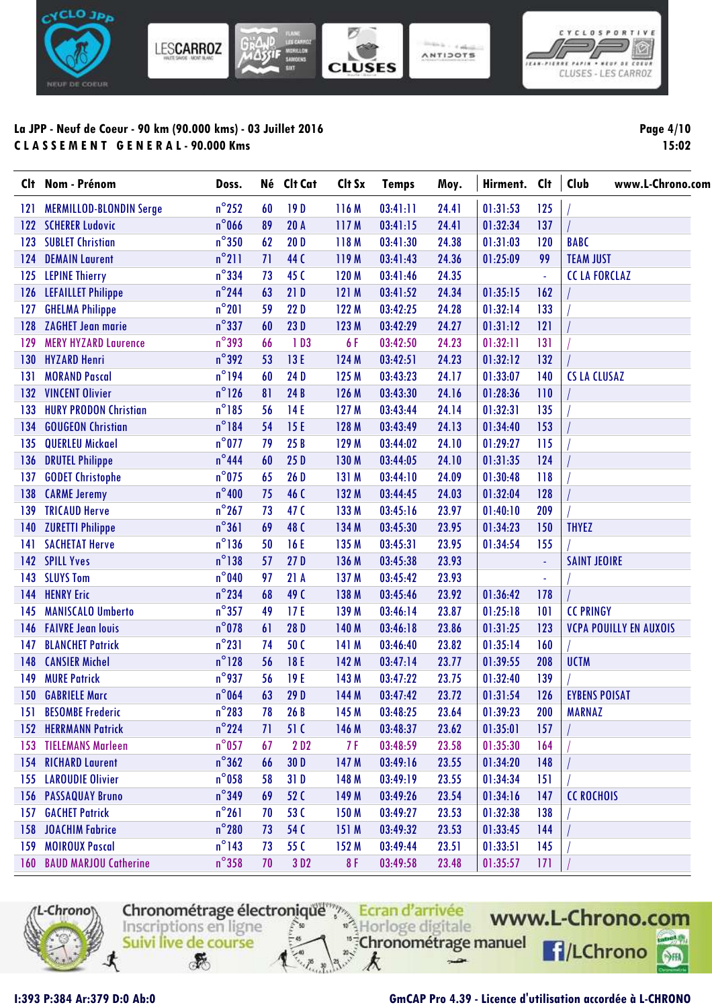



**Page 4/10 15:02**

| Clt | Nom - Prénom                     | Doss.           | Né | Clt Cat          | Clt Sx | <b>Temps</b> | Moy.  | Hirment. | <b>Clt</b> | Club<br>www.L-Chrono.com      |
|-----|----------------------------------|-----------------|----|------------------|--------|--------------|-------|----------|------------|-------------------------------|
| 121 | <b>MERMILLOD-BLONDIN Serge</b>   | $n^{\circ}$ 252 | 60 | 19D              | 116 M  | 03:41:11     | 24.41 | 01:31:53 | 125        |                               |
|     | 122 SCHERER Ludovic              | $n^{\circ}$ 066 | 89 | 20A              | 117M   | 03:41:15     | 24.41 | 01:32:34 | 137        |                               |
| 123 | <b>SUBLET Christian</b>          | $n^{\circ}350$  | 62 | 20D              | 118M   | 03:41:30     | 24.38 | 01:31:03 | 120        | <b>BABC</b>                   |
| 124 | <b>DEMAIN Laurent</b>            | $n^{\circ}$ 211 | 71 | 44 C             | 119 M  | 03:41:43     | 24.36 | 01:25:09 | 99         | <b>TEAM JUST</b>              |
| 125 | <b>LEPINE Thierry</b>            | $n^{\circ}$ 334 | 73 | 45 C             | 120 M  | 03:41:46     | 24.35 |          | ä,         | <b>CCLAFORCLAZ</b>            |
| 126 | <b>LEFAILLET Philippe</b>        | $n^{\circ}$ 244 | 63 | 21D              | 121 M  | 03:41:52     | 24.34 | 01:35:15 | 162        |                               |
| 127 | <b>GHELMA Philippe</b>           | $n^{\circ}201$  | 59 | 22D              | 122 M  | 03:42:25     | 24.28 | 01:32:14 | 133        |                               |
| 128 | <b>ZAGHET Jean marie</b>         | $n^{\circ}$ 337 | 60 | 23D              | 123 M  | 03:42:29     | 24.27 | 01:31:12 | 121        |                               |
| 129 | <b>MERY HYZARD Laurence</b>      | $n^{\circ}$ 393 | 66 | 1D3              | 6F     | 03:42:50     | 24.23 | 01:32:11 | 131        |                               |
| 130 | <b>HYZARD Henri</b>              | $n^{\circ}$ 392 | 53 | 13 E             | 124 M  | 03:42:51     | 24.23 | 01:32:12 | 132        |                               |
| 131 | <b>MORAND Pascal</b>             | $n^{\circ}$ 194 | 60 | 24D              | 125 M  | 03:43:23     | 24.17 | 01:33:07 | 140        | <b>CS LA CLUSAZ</b>           |
| 132 | <b>VINCENT Olivier</b>           | $n^{\circ}$ 126 | 81 | 24B              | 126 M  | 03:43:30     | 24.16 | 01:28:36 | 110        |                               |
| 133 | <b>HURY PRODON Christian</b>     | $n^{\circ}185$  | 56 | 14E              | 127 M  | 03:43:44     | 24.14 | 01:32:31 | 135        |                               |
| 134 | <b>GOUGEON Christian</b>         | $n^{\circ}184$  | 54 | 15E              | 128 M  | 03:43:49     | 24.13 | 01:34:40 | 153        |                               |
| 135 | <b>QUERLEU Mickael</b>           | $n^{\circ}$ 077 | 79 | 25B              | 129 M  | 03:44:02     | 24.10 | 01:29:27 | 115        |                               |
| 136 | <b>DRUTEL Philippe</b>           | $n^{\circ}$ 444 | 60 | 25D              | 130 M  | 03:44:05     | 24.10 | 01:31:35 | 124        |                               |
| 137 | <b>GODET Christophe</b>          | $n^{\circ}$ 075 | 65 | 26 D             | 131 M  | 03:44:10     | 24.09 | 01:30:48 | 118        |                               |
| 138 | <b>CARME Jeremy</b>              | $n^{\circ}400$  | 75 | 46 C             | 132 M  | 03:44:45     | 24.03 | 01:32:04 | 128        |                               |
| 139 | <b>TRICAUD Herve</b>             | $n^{\circ}267$  | 73 | 47 <sub>C</sub>  | 133 M  | 03:45:16     | 23.97 | 01:40:10 | 209        |                               |
| 140 | <b>ZURETTI Philippe</b>          | $n^{\circ}361$  | 69 | 48 C             | 134 M  | 03:45:30     | 23.95 | 01:34:23 | 150        | <b>THYEZ</b>                  |
| 141 | <b>SACHETAT Herve</b>            | $n^{\circ}$ 136 | 50 | 16 E             | 135 M  | 03:45:31     | 23.95 | 01:34:54 | 155        |                               |
| 142 | <b>SPILL Yves</b>                | $n^{\circ}$ 138 | 57 | 27D              | 136 M  | 03:45:38     | 23.93 |          |            | <b>SAINT JEOIRE</b>           |
| 143 | <b>SLUYS Tom</b>                 | $n^{\circ}$ 040 | 97 | 21A              | 137 M  | 03:45:42     | 23.93 |          | ٠          |                               |
| 144 | <b>HENRY Eric</b>                | $n^{\circ}$ 234 | 68 | 49 C             | 138 M  | 03:45:46     | 23.92 | 01:36:42 | 178        |                               |
| 145 | <b>MANISCALO Umberto</b>         | $n^{\circ}357$  | 49 | 17E              | 139 M  | 03:46:14     | 23.87 | 01:25:18 | 101        | <b>CC PRINGY</b>              |
| 146 | <b>FAIVRE Jean louis</b>         | $n^{\circ}$ 078 | 61 | 28 D             | 140 M  | 03:46:18     | 23.86 | 01:31:25 | 123        | <b>VCPA POUILLY EN AUXOIS</b> |
| 147 | <b>BLANCHET Patrick</b>          | $n^{\circ}231$  | 74 | 50C              | 141 M  | 03:46:40     | 23.82 | 01:35:14 | 160        |                               |
| 148 | <b>CANSIER Michel</b>            | $n^{\circ}$ 128 | 56 | 18 E             | 142 M  | 03:47:14     | 23.77 | 01:39:55 | 208        | <b>UCTM</b>                   |
| 149 | <b>MURE Patrick</b>              | $n^{\circ}$ 937 | 56 | 19E              | 143 M  | 03:47:22     | 23.75 | 01:32:40 | 139        |                               |
| 150 | <b>GABRIELE Marc</b>             | $n^{\circ}$ 064 | 63 | 29 D             | 144 M  | 03:47:42     | 23.72 | 01:31:54 | 126        | <b>EYBENS POISAT</b>          |
|     | 151 BESOMBE Frederic             | $n^{\circ}283$  | 78 | 26B              | 145 M  | 03:48:25     | 23.64 | 01:39:23 | 200        | <b>MARNAZ</b>                 |
|     | <b>152 HERRMANN Patrick</b>      | $n^{\circ}$ 224 | 71 | 51 C             | 146 M  | 03:48:37     | 23.62 | 01:35:01 | 157        |                               |
|     | <b>153 TIELEMANS Marleen</b>     | $n^{\circ}$ 057 | 67 | 2 D <sub>2</sub> | 7 F    | 03:48:59     | 23.58 | 01:35:30 | 164        |                               |
|     | <b>154 RICHARD Laurent</b>       | $n^{\circ}362$  | 66 | 30 D             | 147 M  | 03:49:16     | 23.55 | 01:34:20 | 148        |                               |
|     | <b>155 LAROUDIE Olivier</b>      | $n^{\circ}$ 058 | 58 | 31D              | 148 M  | 03:49:19     | 23.55 | 01:34:34 | 151        |                               |
|     | <b>156 PASSAQUAY Bruno</b>       | $n^{\circ}$ 349 | 69 | 52 C             | 149 M  | 03:49:26     | 23.54 | 01:34:16 | 147        | <b>CC ROCHOIS</b>             |
| 157 | <b>GACHET Patrick</b>            | $n^{\circ}261$  | 70 | 53C              | 150 M  | 03:49:27     | 23.53 | 01:32:38 | 138        |                               |
| 158 | <b>JOACHIM Fabrice</b>           | $n^{\circ}280$  | 73 | 54 C             | 151 M  | 03:49:32     | 23.53 | 01:33:45 | 144        |                               |
| 159 | <b>MOIROUX Pascal</b>            | $n^{\circ}$ 143 | 73 | 55 C             | 152 M  | 03:49:44     | 23.51 | 01:33:51 | 145        |                               |
|     | <b>160 BAUD MARJOU Catherine</b> | $n^{\circ}358$  | 70 | 3D <sub>2</sub>  | 8F     | 03:49:58     | 23.48 | 01:35:57 | 171        |                               |



Chronométrage électronique<sup>mpa</sup> Ecran d'arrivée "<sup>#</sup>Chronométrage manuel Suivi live de course g.

k

 $\rightarrow$ 

 $\mathcal{F}$ 

www.L-Chrono.com **F**/LChrono

 $\circ$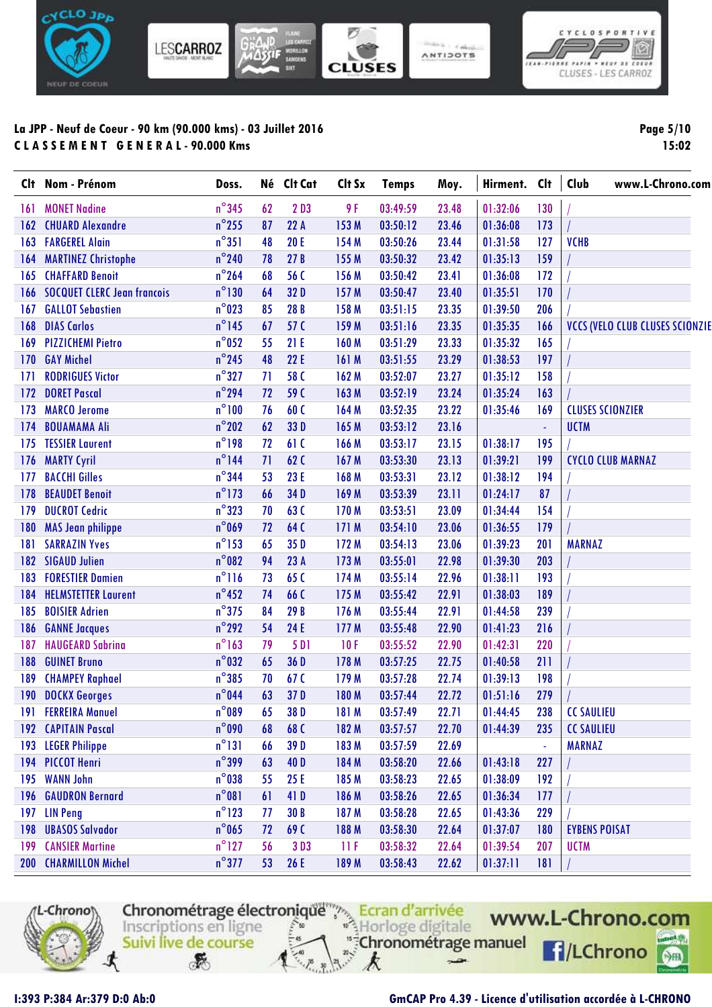



**Page 5/10 15:02**

|     | Clt Nom - Prénom                   | Doss.           |    | Né Clt Cat       | Clt Sx | <b>Temps</b> | Moy.  | Hirment. Clt |          | Club<br>www.L-Chrono.com               |
|-----|------------------------------------|-----------------|----|------------------|--------|--------------|-------|--------------|----------|----------------------------------------|
| 161 | <b>MONET Nadine</b>                | $n^{\circ}$ 345 | 62 | 2D3              | 9F     | 03:49:59     | 23.48 | 01:32:06     | 130      |                                        |
| 162 | <b>CHUARD Alexandre</b>            | $n^{\circ}$ 255 | 87 | 22A              | 153 M  | 03:50:12     | 23.46 | 01:36:08     | 173      |                                        |
| 163 | <b>FARGEREL Alain</b>              | $n^{\circ}351$  | 48 | <b>20 E</b>      | 154 M  | 03:50:26     | 23.44 | 01:31:58     | 127      | <b>VCHB</b>                            |
| 164 | <b>MARTINEZ Christophe</b>         | $n^{\circ}$ 240 | 78 | 27B              | 155 M  | 03:50:32     | 23.42 | 01:35:13     | 159      |                                        |
| 165 | <b>CHAFFARD Benoit</b>             | $n^{\circ}$ 264 | 68 | 56 C             | 156 M  | 03:50:42     | 23.41 | 01:36:08     | 172      |                                        |
| 166 | <b>SOCQUET CLERC Jean francois</b> | $n^{\circ}$ 130 | 64 | 32D              | 157 M  | 03:50:47     | 23.40 | 01:35:51     | 170      |                                        |
| 167 | <b>GALLOT Sebastien</b>            | $n^{\circ}023$  | 85 | 28 B             | 158 M  | 03:51:15     | 23.35 | 01:39:50     | 206      |                                        |
| 168 | <b>DIAS Carlos</b>                 | $n^{\circ}$ 145 | 67 | 57 C             | 159 M  | 03:51:16     | 23.35 | 01:35:35     | 166      | <b>VCCS (VELO CLUB CLUSES SCIONZIE</b> |
| 169 | <b>PIZZICHEMI Pietro</b>           | $n^{\circ}$ 052 | 55 | 21E              | 160 M  | 03:51:29     | 23.33 | 01:35:32     | 165      |                                        |
| 170 | <b>GAY Michel</b>                  | $n^{\circ}$ 245 | 48 | 22 E             | 161M   | 03:51:55     | 23.29 | 01:38:53     | 197      |                                        |
| 171 | <b>RODRIGUES Victor</b>            | $n^{\circ}327$  | 71 | 58 <sub>C</sub>  | 162 M  | 03:52:07     | 23.27 | 01:35:12     | 158      |                                        |
| 172 | <b>DORET Pascal</b>                | $n^{\circ}$ 294 | 72 | 59 C             | 163 M  | 03:52:19     | 23.24 | 01:35:24     | 163      |                                        |
| 173 | <b>MARCO Jerome</b>                | $n^{\circ}100$  | 76 | 60C              | 164 M  | 03:52:35     | 23.22 | 01:35:46     | 169      | <b>CLUSES SCIONZIER</b>                |
| 174 | <b>BOUAMAMA Ali</b>                | $n^{\circ}$ 202 | 62 | 33D              | 165 M  | 03:53:12     | 23.16 |              | $\omega$ | <b>UCTM</b>                            |
| 175 | <b>TESSIER Laurent</b>             | $n^{\circ}$ 198 | 72 | 61C              | 166 M  | 03:53:17     | 23.15 | 01:38:17     | 195      |                                        |
| 176 | <b>MARTY Cyril</b>                 | $n^{\circ}$ 144 | 71 | 62 C             | 167 M  | 03:53:30     | 23.13 | 01:39:21     | 199      | <b>CYCLO CLUB MARNAZ</b>               |
| 177 | <b>BACCHI Gilles</b>               | $n^{\circ}$ 344 | 53 | 23 E             | 168 M  | 03:53:31     | 23.12 | 01:38:12     | 194      |                                        |
| 178 | <b>BEAUDET Benoit</b>              | $n^{\circ}$ 173 | 66 | 34D              | 169 M  | 03:53:39     | 23.11 | 01:24:17     | 87       |                                        |
| 179 | <b>DUCROT Cedric</b>               | $n^{\circ}323$  | 70 | 63C              | 170 M  | 03:53:51     | 23.09 | 01:34:44     | 154      |                                        |
| 180 | <b>MAS Jean philippe</b>           | $n^{\circ}$ 069 | 72 | 64 C             | 171 M  | 03:54:10     | 23.06 | 01:36:55     | 179      |                                        |
| 181 | <b>SARRAZIN Yves</b>               | $n^{\circ}$ 153 | 65 | 35 D             | 172M   | 03:54:13     | 23.06 | 01:39:23     | 201      | <b>MARNAZ</b>                          |
| 182 | <b>SIGAUD Julien</b>               | $n^{\circ}082$  | 94 | 23 A             | 173 M  | 03:55:01     | 22.98 | 01:39:30     | 203      |                                        |
| 183 | <b>FORESTIER Damien</b>            | $n^{\circ}116$  | 73 | 65C              | 174 M  | 03:55:14     | 22.96 | 01:38:11     | 193      |                                        |
| 184 | <b>HELMSTETTER Laurent</b>         | $n^{\circ}$ 452 | 74 | 66 C             | 175 M  | 03:55:42     | 22.91 | 01:38:03     | 189      |                                        |
| 185 | <b>BOISIER Adrien</b>              | $n^{\circ}$ 375 | 84 | 29 B             | 176 M  | 03:55:44     | 22.91 | 01:44:58     | 239      |                                        |
| 186 | <b>GANNE Jacques</b>               | $n^{\circ}$ 292 | 54 | 24 E             | 177 M  | 03:55:48     | 22.90 | 01:41:23     | 216      |                                        |
| 187 | <b>HAUGEARD Sabrina</b>            | $n^{\circ}163$  | 79 | 5 D <sub>1</sub> | 10F    | 03:55:52     | 22.90 | 01:42:31     | 220      |                                        |
| 188 | <b>GUINET Bruno</b>                | $n^{\circ}$ 032 | 65 | 36 D             | 178 M  | 03:57:25     | 22.75 | 01:40:58     | 211      |                                        |
| 189 | <b>CHAMPEY Raphael</b>             | $n^{\circ}385$  | 70 | 67 C             | 179 M  | 03:57:28     | 22.74 | 01:39:13     | 198      |                                        |
| 190 | <b>DOCKX Georges</b>               | $n^{\circ}$ 044 | 63 | 37D              | 180 M  | 03:57:44     | 22.72 | 01:51:16     | 279      |                                        |
| 191 | <b>FERREIRA Manuel</b>             | $n^{\circ}089$  | 65 | 38 D             | 181 M  | 03:57:49     | 22.71 | 01:44:45     | 238      | <b>CC SAULIEU</b>                      |
|     | 192 CAPITAIN Pascal                | $n^{\circ}090$  | 68 | 68 C             | 182 M  | 03:57:57     | 22.70 | 01:44:39     | 235      | <b>CC SAULIEU</b>                      |
| 193 | <b>LEGER Philippe</b>              | $n^{\circ}131$  | 66 | 39 D             | 183 M  | 03:57:59     | 22.69 |              | ÷,       | <b>MARNAZ</b>                          |
|     | 194 PICCOT Henri                   | $n^{\circ}$ 399 | 63 | 40 D             | 184 M  | 03:58:20     | 22.66 | 01:43:18     | 227      |                                        |
| 195 | <b>WANN John</b>                   | $n^{\circ}$ 038 | 55 | 25 E             | 185 M  | 03:58:23     | 22.65 | 01:38:09     | 192      |                                        |
|     | <b>196 GAUDRON Bernard</b>         | $n^{\circ}081$  | 61 | 41 D             | 186 M  | 03:58:26     | 22.65 | 01:36:34     | 177      |                                        |
| 197 | <b>LIN Peng</b>                    | $n^{\circ}$ 123 | 77 | 30 B             | 187 M  | 03:58:28     | 22.65 | 01:43:36     | 229      |                                        |
| 198 | <b>UBASOS Salvador</b>             | $n^{\circ}$ 065 | 72 | 69C              | 188 M  | 03:58:30     | 22.64 | 01:37:07     | 180      | <b>EYBENS POISAT</b>                   |
| 199 | <b>CANSIER Martine</b>             | $n^{\circ}$ 127 | 56 | 3D3              | 11F    | 03:58:32     | 22.64 | 01:39:54     | 207      | <b>UCTM</b>                            |
|     | 200 CHARMILLON Michel              | $n^{\circ}377$  | 53 | 26 E             | 189 M  | 03:58:43     | 22.62 | 01:37:11     | 181      |                                        |



⊀  $\mathcal{F}$ 

Chronométrage électronique<br>
Inscriptions en ligne<br>
Suivi live de course<br>
Suivi live de course<br>
Suivi live de course

 $\rightarrow$ 

k



**I:393 P:384 Ar:379 D:0 Ab:0 GmCAP Pro 4.39 - Licence d'utilisation accordée à L-CHRONO**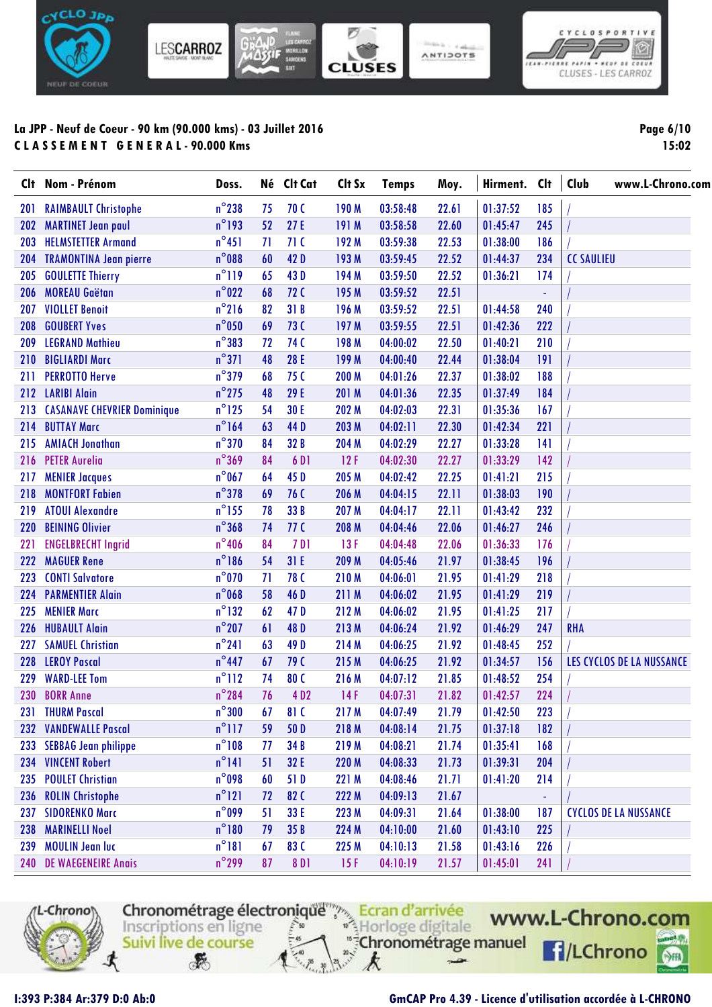

| Page 6/10 |       |
|-----------|-------|
|           | 15:02 |

 $\big| \mathbf{0}$ 

NEUF OF COEUR

| Clt. | Nom - Prénom                       | Doss.           |    | Né Clt Cat       | Clt Sx | <b>Temps</b> | Moy.  | Hirment. | Clt | Club<br>www.L-Chrono.com     |
|------|------------------------------------|-----------------|----|------------------|--------|--------------|-------|----------|-----|------------------------------|
| 201  | <b>RAIMBAULT Christophe</b>        | $n^{\circ}$ 238 | 75 | 70 C             | 190 M  | 03:58:48     | 22.61 | 01:37:52 | 185 |                              |
| 202  | <b>MARTINET Jean paul</b>          | $n^{\circ}$ 193 | 52 | 27E              | 191 M  | 03:58:58     | 22.60 | 01:45:47 | 245 |                              |
| 203  | <b>HELMSTETTER Armand</b>          | $n^{\circ}451$  | 71 | 71 <sub>C</sub>  | 192 M  | 03:59:38     | 22.53 | 01:38:00 | 186 |                              |
| 204  | <b>TRAMONTINA Jean pierre</b>      | $n^{\circ}$ 088 | 60 | 42 D             | 193 M  | 03:59:45     | 22.52 | 01:44:37 | 234 | <b>CC SAULIEU</b>            |
| 205  | <b>GOULETTE Thierry</b>            | $n^{\circ}119$  | 65 | 43D              | 194 M  | 03:59:50     | 22.52 | 01:36:21 | 174 |                              |
| 206  | <b>MOREAU Gaëtan</b>               | $n^{\circ}022$  | 68 | <b>72 C</b>      | 195 M  | 03:59:52     | 22.51 |          | ä,  |                              |
| 207  | <b>VIOLLET Benoit</b>              | $n^{\circ}$ 216 | 82 | 31B              | 196 M  | 03:59:52     | 22.51 | 01:44:58 | 240 |                              |
| 208  | <b>GOUBERT Yves</b>                | $n^{\circ}$ 050 | 69 | 73 C             | 197 M  | 03:59:55     | 22.51 | 01:42:36 | 222 |                              |
| 209  | <b>LEGRAND Mathieu</b>             | $n^{\circ}383$  | 72 | 74 C             | 198 M  | 04:00:02     | 22.50 | 01:40:21 | 210 |                              |
| 210  | <b>BIGLIARDI Marc</b>              | $n^{\circ}371$  | 48 | 28 E             | 199 M  | 04:00:40     | 22.44 | 01:38:04 | 191 |                              |
| 211  | <b>PERROTTO Herve</b>              | $n^{\circ}$ 379 | 68 | 75 C             | 200 M  | 04:01:26     | 22.37 | 01:38:02 | 188 |                              |
| 212  | <b>LARIBI Alain</b>                | $n^{\circ}$ 275 | 48 | 29 E             | 201 M  | 04:01:36     | 22.35 | 01:37:49 | 184 |                              |
| 213  | <b>CASANAVE CHEVRIER Dominique</b> | $n^{\circ}$ 125 | 54 | 30 E             | 202 M  | 04:02:03     | 22.31 | 01:35:36 | 167 |                              |
| 214  | <b>BUTTAY Marc</b>                 | $n^{\circ}$ 164 | 63 | 44 D             | 203 M  | 04:02:11     | 22.30 | 01:42:34 | 221 |                              |
| 215  | <b>AMIACH Jonathan</b>             | $n^{\circ}370$  | 84 | 32 B             | 204 M  | 04:02:29     | 22.27 | 01:33:28 | 141 |                              |
| 216  | <b>PETER Aurelia</b>               | $n^{\circ}369$  | 84 | 6 D <sub>1</sub> | 12F    | 04:02:30     | 22.27 | 01:33:29 | 142 |                              |
| 217  | <b>MENIER Jacques</b>              | $n^{\circ}$ 067 | 64 | 45 D             | 205 M  | 04:02:42     | 22.25 | 01:41:21 | 215 |                              |
| 218  | <b>MONTFORT Fabien</b>             | $n^{\circ}$ 378 | 69 | 76 C             | 206 M  | 04:04:15     | 22.11 | 01:38:03 | 190 |                              |
| 219  | <b>ATOUI Alexandre</b>             | $n^{\circ}$ 155 | 78 | 33 B             | 207 M  | 04:04:17     | 22.11 | 01:43:42 | 232 |                              |
| 220  | <b>BEINING Olivier</b>             | $n^{\circ}368$  | 74 | 77 <sub>C</sub>  | 208 M  | 04:04:46     | 22.06 | 01:46:27 | 246 |                              |
| 221  | <b>ENGELBRECHT Ingrid</b>          | $n^{\circ}$ 406 | 84 | 7 D I            | 13F    | 04:04:48     | 22.06 | 01:36:33 | 176 |                              |
| 222  | <b>MAGUER Rene</b>                 | $n^{\circ}$ 186 | 54 | 31E              | 209 M  | 04:05:46     | 21.97 | 01:38:45 | 196 |                              |
| 223  | <b>CONTI Salvatore</b>             | $n^{\circ}$ 070 | 71 | 78 C             | 210M   | 04:06:01     | 21.95 | 01:41:29 | 218 |                              |
| 224  | <b>PARMENTIER Alain</b>            | $n^{\circ}$ 068 | 58 | 46 D             | 211 M  | 04:06:02     | 21.95 | 01:41:29 | 219 |                              |
| 225  | <b>MENIER Marc</b>                 | $n^{\circ}$ 132 | 62 | 47 D             | 212 M  | 04:06:02     | 21.95 | 01:41:25 | 217 |                              |
| 226  | <b>HUBAULT Alain</b>               | $n^{\circ}$ 207 | 61 | 48 D             | 213M   | 04:06:24     | 21.92 | 01:46:29 | 247 | <b>RHA</b>                   |
| 227  | <b>SAMUEL Christian</b>            | $n^{\circ}241$  | 63 | 49 D             | 214 M  | 04:06:25     | 21.92 | 01:48:45 | 252 |                              |
| 228  | <b>LEROY Pascal</b>                | $n^{\circ}$ 447 | 67 | 79 C             | 215 M  | 04:06:25     | 21.92 | 01:34:57 | 156 | LES CYCLOS DE LA NUSSANCE    |
| 229  | <b>WARD-LEE Tom</b>                | $n^{\circ}$ 112 | 74 | 80 C             | 216 M  | 04:07:12     | 21.85 | 01:48:52 | 254 |                              |
| 230  | <b>BORR Anne</b>                   | $n^{\circ}$ 284 | 76 | 4D <sub>2</sub>  | 14F    | 04:07:31     | 21.82 | 01:42:57 | 224 |                              |
| 231  | <b>THURM Pascal</b>                | $n^{\circ}300$  | 67 | 81 C             | 217 M  | 04:07:49     | 21.79 | 01:42:50 | 223 |                              |
| 232  | <b>VANDEWALLE Pascal</b>           | $n^{\circ}$ 117 | 59 | 50 D             | 218 M  | 04:08:14     | 21.75 | 01:37:18 | 182 |                              |
| 233  | <b>SEBBAG Jean philippe</b>        | $n^{\circ}108$  | 77 | 34 B             | 219 M  | 04:08:21     | 21.74 | 01:35:41 | 168 |                              |
| 234  | <b>VINCENT Robert</b>              | $n^{\circ}$ 141 | 51 | 32 E             | 220 M  | 04:08:33     | 21.73 | 01:39:31 | 204 |                              |
| 235  | <b>POULET Christian</b>            | $n^{\circ}$ 098 | 60 | 51D              | 221 M  | 04:08:46     | 21.71 | 01:41:20 | 214 |                              |
| 236  | <b>ROLIN Christophe</b>            | $n^{\circ}121$  | 72 | 82C              | 222 M  | 04:09:13     | 21.67 |          |     |                              |
| 237  | <b>SIDORENKO Marc</b>              | $n^{\circ}$ 099 | 51 | 33 E             | 223 M  | 04:09:31     | 21.64 | 01:38:00 | 187 | <b>CYCLOS DE LA NUSSANCE</b> |
| 238  | <b>MARINELLI Noel</b>              | $n^{\circ}180$  | 79 | 35 B             | 224 M  | 04:10:00     | 21.60 | 01:43:10 | 225 |                              |
| 239  | <b>MOULIN Jean luc</b>             | $n^{\circ}181$  | 67 | 83C              | 225 M  | 04:10:13     | 21.58 | 01:43:16 | 226 |                              |
|      | 240 DE WAEGENEIRE Anais            | $n^{\circ}$ 299 | 87 | 8 D <sub>1</sub> | 15F    | 04:10:19     | 21.57 | 01:45:01 | 241 |                              |



Chronométrage électronique de Course k  $\mathcal{F}$  $\rightarrow$ 

www.L-Chrono.com **F**/LChrono  $\circ$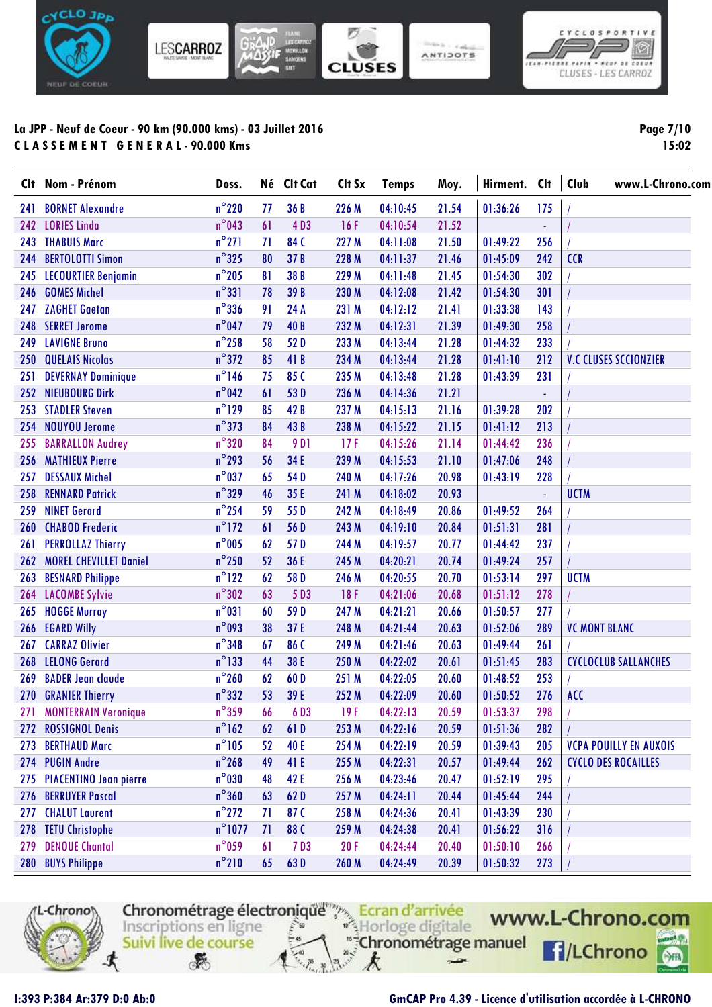

**Page 7/10 15:02**

| Clt – | Nom - Prénom                  | Doss.            |    | Né Clt Cat       | Clt Sx | <b>Temps</b> | Moy.  | Hirment. | <b>Clt</b> | Club<br>www.L-Chrono.com      |
|-------|-------------------------------|------------------|----|------------------|--------|--------------|-------|----------|------------|-------------------------------|
| 241   | <b>BORNET Alexandre</b>       | $n^{\circ}$ 220  | 77 | 36B              | 226 M  | 04:10:45     | 21.54 | 01:36:26 | 175        |                               |
| 242   | <b>LORIES Linda</b>           | $n^{\circ}$ 043  | 61 | 4D3              | 16F    | 04:10:54     | 21.52 |          |            |                               |
| 243   | <b>THABUIS Marc</b>           | $n^{\circ}271$   | 71 | 84 C             | 227 M  | 04:11:08     | 21.50 | 01:49:22 | 256        |                               |
| 244   | <b>BERTOLOTTI Simon</b>       | $n^{\circ}325$   | 80 | 37 B             | 228 M  | 04:11:37     | 21.46 | 01:45:09 | 242        | <b>CCR</b>                    |
| 245   | <b>LECOURTIER Benjamin</b>    | $n^{\circ}$ 205  | 81 | 38 B             | 229 M  | 04:11:48     | 21.45 | 01:54:30 | 302        |                               |
| 246   | <b>GOMES Michel</b>           | $n^{\circ}331$   | 78 | 39 B             | 230 M  | 04:12:08     | 21.42 | 01:54:30 | 301        |                               |
| 247   | <b>ZAGHET Gaetan</b>          | $n^{\circ}$ 336  | 91 | 24 A             | 231 M  | 04:12:12     | 21.41 | 01:33:38 | 143        |                               |
| 248   | <b>SERRET Jerome</b>          | $n^{\circ}$ 047  | 79 | 40 B             | 232 M  | 04:12:31     | 21.39 | 01:49:30 | 258        |                               |
| 249   | <b>LAVIGNE Bruno</b>          | $n^{\circ}$ 258  | 58 | 52 D             | 233 M  | 04:13:44     | 21.28 | 01:44:32 | 233        |                               |
| 250   | <b>QUELAIS Nicolas</b>        | $n^{\circ}372$   | 85 | 41 B             | 234 M  | 04:13:44     | 21.28 | 01:41:10 | 212        | <b>V.C CLUSES SCCIONZIER</b>  |
| 251   | <b>DEVERNAY Dominique</b>     | $n^{\circ}$ 146  | 75 | 85C              | 235 M  | 04:13:48     | 21.28 | 01:43:39 | 231        |                               |
| 252   | <b>NIEUBOURG Dirk</b>         | $n^{\circ}042$   | 61 | 53D              | 236 M  | 04:14:36     | 21.21 |          | ÷,         |                               |
| 253   | <b>STADLER Steven</b>         | $n^{\circ}$ 129  | 85 | 42 B             | 237 M  | 04:15:13     | 21.16 | 01:39:28 | 202        |                               |
| 254   | <b>NOUYOU Jerome</b>          | $n^{\circ}373$   | 84 | 43 B             | 238 M  | 04:15:22     | 21.15 | 01:41:12 | 213        |                               |
| 255   | <b>BARRALLON Audrey</b>       | $n^{\circ}320$   | 84 | 9 D <sub>1</sub> | 17F    | 04:15:26     | 21.14 | 01:44:42 | 236        |                               |
| 256   | <b>MATHIEUX Pierre</b>        | $n^{\circ}$ 293  | 56 | 34 E             | 239 M  | 04:15:53     | 21.10 | 01:47:06 | 248        |                               |
| 257   | <b>DESSAUX Michel</b>         | $n^{\circ}$ 037  | 65 | 54D              | 240 M  | 04:17:26     | 20.98 | 01:43:19 | 228        |                               |
| 258   | <b>RENNARD Patrick</b>        | $n^{\circ}329$   | 46 | 35 E             | 241 M  | 04:18:02     | 20.93 |          | ä,         | <b>UCTM</b>                   |
| 259   | <b>NINET Gerard</b>           | $n^{\circ}$ 254  | 59 | 55 D             | 242 M  | 04:18:49     | 20.86 | 01:49:52 | 264        |                               |
| 260   | <b>CHABOD Frederic</b>        | $n^{\circ}$ 172  | 61 | 56 D             | 243 M  | 04:19:10     | 20.84 | 01:51:31 | 281        |                               |
| 261   | <b>PERROLLAZ Thierry</b>      | $n^{\circ}$ 005  | 62 | 57D              | 244 M  | 04:19:57     | 20.77 | 01:44:42 | 237        |                               |
| 262   | <b>MOREL CHEVILLET Daniel</b> | $n^{\circ}$ 250  | 52 | 36 E             | 245 M  | 04:20:21     | 20.74 | 01:49:24 | 257        |                               |
| 263   | <b>BESNARD Philippe</b>       | $n^{\circ}$ 122  | 62 | 58 D             | 246 M  | 04:20:55     | 20.70 | 01:53:14 | 297        | <b>UCTM</b>                   |
| 264   | <b>LACOMBE Sylvie</b>         | $n^{\circ}302$   | 63 | 5D3              | 18F    | 04:21:06     | 20.68 | 01:51:12 | 278        |                               |
| 265   | <b>HOGGE Murray</b>           | $n^{\circ}031$   | 60 | 59 D             | 247 M  | 04:21:21     | 20.66 | 01:50:57 | 277        |                               |
| 266   | <b>EGARD Willy</b>            | $n^{\circ}$ 093  | 38 | 37 E             | 248 M  | 04:21:44     | 20.63 | 01:52:06 | 289        | <b>VC MONT BLANC</b>          |
| 267   | <b>CARRAZ Olivier</b>         | $n^{\circ}$ 348  | 67 | 86 C             | 249 M  | 04:21:46     | 20.63 | 01:49:44 | 261        |                               |
| 268   | <b>LELONG Gerard</b>          | $n^{\circ}$ 133  | 44 | 38 E             | 250 M  | 04:22:02     | 20.61 | 01:51:45 | 283        | <b>CYCLOCLUB SALLANCHES</b>   |
| 269   | <b>BADER Jean claude</b>      | $n^{\circ}$ 260  | 62 | 60D              | 251 M  | 04:22:05     | 20.60 | 01:48:52 | 253        |                               |
| 270   | <b>GRANIER Thierry</b>        | $n^{\circ}332$   | 53 | 39 E             | 252 M  | 04:22:09     | 20.60 | 01:50:52 | 276        | <b>ACC</b>                    |
| 271   | <b>MONTERRAIN Veronique</b>   | $n^{\circ}359$   | 66 | 6D3              | 19F    | 04:22:13     | 20.59 | 01:53:37 | 298        |                               |
| 272   | <b>ROSSIGNOL Denis</b>        | $n^{\circ}162$   | 62 | 61D              | 253 M  | 04:22:16     | 20.59 | 01:51:36 | 282        |                               |
| 273   | <b>BERTHAUD Marc</b>          | $n^{\circ}105$   | 52 | 40 E             | 254 M  | 04:22:19     | 20.59 | 01:39:43 | 205        | <b>VCPA POUILLY EN AUXOIS</b> |
| 274   | <b>PUGIN Andre</b>            | $n^{\circ}$ 268  | 49 | 41 E             | 255 M  | 04:22:31     | 20.57 | 01:49:44 | 262        | <b>CYCLO DES ROCAILLES</b>    |
|       | 275 PIACENTINO Jean pierre    | $n^{\circ}$ 030  | 48 | 42 E             | 256 M  | 04:23:46     | 20.47 | 01:52:19 | 295        |                               |
| 276   | <b>BERRUYER Pascal</b>        | $n^{\circ}360$   | 63 | 62D              | 257 M  | 04:24:11     | 20.44 | 01:45:44 | 244        |                               |
| 277   | <b>CHALUT Laurent</b>         | $n^{\circ}$ 272  | 71 | 87C              | 258 M  | 04:24:36     | 20.41 | 01:43:39 | 230        |                               |
| 278   | <b>TETU Christophe</b>        | $n^{\circ}$ 1077 | 71 | 88 C             | 259 M  | 04:24:38     | 20.41 | 01:56:22 | 316        |                               |
| 279   | <b>DENOUE Chantal</b>         | $n^{\circ}$ 059  | 61 | 7D3              | 20F    | 04:24:44     | 20.40 | 01:50:10 | 266        |                               |
| 280   | <b>BUYS Philippe</b>          | $n^{\circ}210$   | 65 | 63D              | 260 M  | 04:24:49     | 20.39 | 01:50:32 | 273        |                               |



Chronométrage électronique de la d'arrivée digitale WWI<br>
Inscriptions en ligne<br>
Suivi live de course  $\mathcal{F}$ k

www.L-Chrono.com **f**/LChrono  $\circ$ 

 $\rightarrow$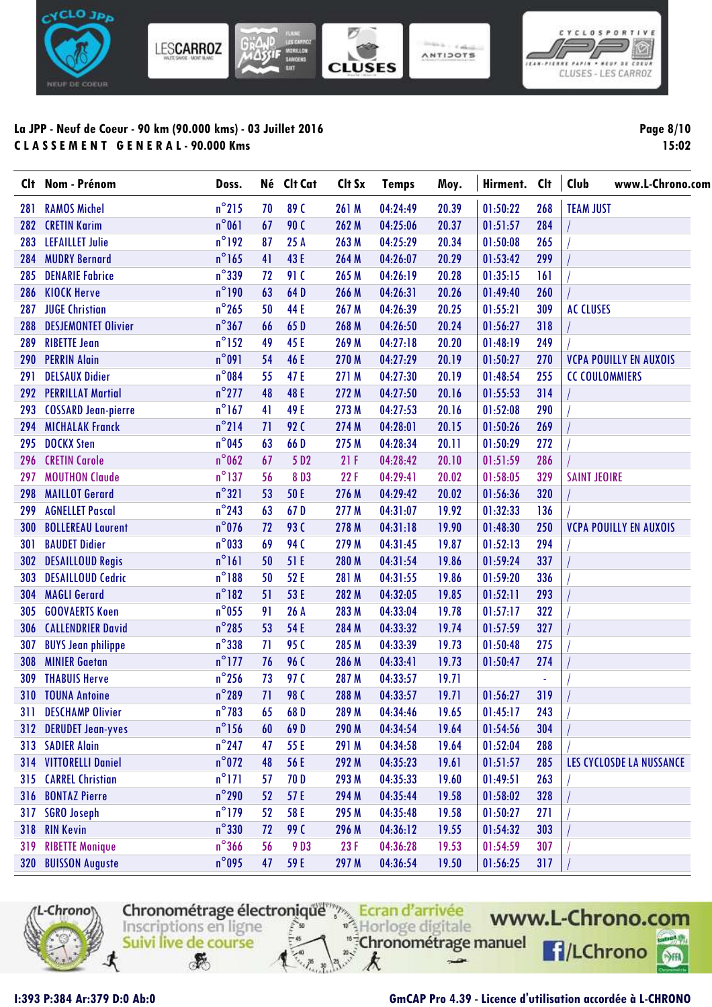

| <b>Page 8/10</b> |  |
|------------------|--|
|                  |  |

 $\circledcirc$ 

cor or coru

**15:02**

| Clt | Nom - Prénom               | Doss.           | Né | Clt Cat          | Clt Sx | <b>Temps</b> | Moy.  | Hirment. | <b>Clt</b> | Club<br>www.L-Chrono.com      |
|-----|----------------------------|-----------------|----|------------------|--------|--------------|-------|----------|------------|-------------------------------|
| 281 | <b>RAMOS Michel</b>        | $n^{\circ}$ 215 | 70 | 89 C             | 261 M  | 04:24:49     | 20.39 | 01:50:22 | 268        | <b>TEAM JUST</b>              |
| 282 | <b>CRETIN Karim</b>        | $n^{\circ}061$  | 67 | <b>90 C</b>      | 262 M  | 04:25:06     | 20.37 | 01:51:57 | 284        |                               |
| 283 | <b>LEFAILLET Julie</b>     | $n^{\circ}$ 192 | 87 | 25A              | 263 M  | 04:25:29     | 20.34 | 01:50:08 | 265        |                               |
| 284 | <b>MUDRY Bernard</b>       | $n^{\circ}$ 165 | 41 | 43 E             | 264 M  | 04:26:07     | 20.29 | 01:53:42 | 299        |                               |
| 285 | <b>DENARIE Fabrice</b>     | $n^{\circ}$ 339 | 72 | 91 C             | 265 M  | 04:26:19     | 20.28 | 01:35:15 | 161        |                               |
| 286 | <b>KIOCK Herve</b>         | $n^{\circ}$ 190 | 63 | 64D              | 266 M  | 04:26:31     | 20.26 | 01:49:40 | 260        |                               |
| 287 | <b>JUGE Christian</b>      | $n^{\circ}265$  | 50 | 44 E             | 267 M  | 04:26:39     | 20.25 | 01:55:21 | 309        | <b>AC CLUSES</b>              |
| 288 | <b>DESJEMONTET Olivier</b> | $n^{\circ}367$  | 66 | 65 D             | 268 M  | 04:26:50     | 20.24 | 01:56:27 | 318        |                               |
| 289 | <b>RIBETTE Jean</b>        | $n^{\circ}$ 152 | 49 | 45 E             | 269 M  | 04:27:18     | 20.20 | 01:48:19 | 249        |                               |
| 290 | <b>PERRIN Alain</b>        | $n^{\circ}091$  | 54 | 46 E             | 270 M  | 04:27:29     | 20.19 | 01:50:27 | 270        | <b>VCPA POUILLY EN AUXOIS</b> |
| 291 | <b>DELSAUX Didier</b>      | $n^{\circ}084$  | 55 | 47 E             | 271 M  | 04:27:30     | 20.19 | 01:48:54 | 255        | <b>CC COULOMMIERS</b>         |
| 292 | <b>PERRILLAT Martial</b>   | $n^{\circ}$ 277 | 48 | 48 E             | 272 M  | 04:27:50     | 20.16 | 01:55:53 | 314        |                               |
| 293 | <b>COSSARD Jean-pierre</b> | $n^{\circ}$ 167 | 41 | 49 E             | 273 M  | 04:27:53     | 20.16 | 01:52:08 | 290        |                               |
| 294 | <b>MICHALAK Franck</b>     | $n^{\circ}$ 214 | 71 | <b>92 C</b>      | 274 M  | 04:28:01     | 20.15 | 01:50:26 | 269        |                               |
| 295 | <b>DOCKX Sten</b>          | $n^{\circ}$ 045 | 63 | 66 D             | 275 M  | 04:28:34     | 20.11 | 01:50:29 | 272        |                               |
| 296 | <b>CRETIN Carole</b>       | $n^{\circ}$ 062 | 67 | 5 D <sub>2</sub> | 21F    | 04:28:42     | 20.10 | 01:51:59 | 286        |                               |
| 297 | <b>MOUTHON Claude</b>      | $n^{\circ}$ 137 | 56 | 8D3              | 22F    | 04:29:41     | 20.02 | 01:58:05 | 329        | <b>SAINT JEOIRE</b>           |
| 298 | <b>MAILLOT Gerard</b>      | $n^{\circ}321$  | 53 | 50 E             | 276 M  | 04:29:42     | 20.02 | 01:56:36 | 320        |                               |
| 299 | <b>AGNELLET Pascal</b>     | $n^{\circ}$ 243 | 63 | 67D              | 277 M  | 04:31:07     | 19.92 | 01:32:33 | 136        |                               |
| 300 | <b>BOLLEREAU Laurent</b>   | $n^{\circ}$ 076 | 72 | <b>93 C</b>      | 278 M  | 04:31:18     | 19.90 | 01:48:30 | 250        | <b>VCPA POUILLY EN AUXOIS</b> |
| 301 | <b>BAUDET Didier</b>       | $n^{\circ}$ 033 | 69 | <b>94 C</b>      | 279 M  | 04:31:45     | 19.87 | 01:52:13 | 294        |                               |
| 302 | <b>DESAILLOUD Regis</b>    | $n^{\circ}161$  | 50 | 51 E             | 280 M  | 04:31:54     | 19.86 | 01:59:24 | 337        |                               |
| 303 | <b>DESAILLOUD Cedric</b>   | $n^{\circ}188$  | 50 | 52 E             | 281 M  | 04:31:55     | 19.86 | 01:59:20 | 336        |                               |
| 304 | <b>MAGLI Gerard</b>        | $n^{\circ}182$  | 51 | 53 E             | 282 M  | 04:32:05     | 19.85 | 01:52:11 | 293        |                               |
| 305 | <b>GOOVAERTS Koen</b>      | $n^{\circ}$ 055 | 91 | 26 A             | 283 M  | 04:33:04     | 19.78 | 01:57:17 | 322        |                               |
| 306 | <b>CALLENDRIER David</b>   | $n^{\circ}$ 285 | 53 | 54 E             | 284 M  | 04:33:32     | 19.74 | 01:57:59 | 327        |                               |
| 307 | <b>BUYS Jean philippe</b>  | $n^{\circ}$ 338 | 71 | 95 <sub>C</sub>  | 285 M  | 04:33:39     | 19.73 | 01:50:48 | 275        |                               |
| 308 | <b>MINIER Gaetan</b>       | $n^{\circ}$ 177 | 76 | 96 C             | 286 M  | 04:33:41     | 19.73 | 01:50:47 | 274        |                               |
| 309 | <b>THABUIS Herve</b>       | $n^{\circ}$ 256 | 73 | 97 C             | 287 M  | 04:33:57     | 19.71 |          | $\omega$   |                               |
| 310 | <b>TOUNA Antoine</b>       | $n^{\circ}$ 289 | 71 | 98 C             | 288 M  | 04:33:57     | 19.71 | 01:56:27 | 319        |                               |
| 311 | <b>DESCHAMP Olivier</b>    | $n^{\circ}783$  | 65 | 68D              | 289 M  | 04:34:46     | 19.65 | 01:45:17 | 243        |                               |
|     | 312 DERUDET Jean-yves      | $n^{\circ}$ 156 | 60 | 69D              | 290 M  | 04:34:54     | 19.64 | 01:54:56 | 304        |                               |
| 313 | <b>SADIER Alain</b>        | $n^{\circ}$ 247 | 47 | 55 E             | 291 M  | 04:34:58     | 19.64 | 01:52:04 | 288        |                               |
|     | 314 VITTORELLI Daniel      | $n^{\circ}$ 072 | 48 | 56 E             | 292 M  | 04:35:23     | 19.61 | 01:51:57 | 285        | LES CYCLOSDE LA NUSSANCE      |
| 315 | <b>CARREL Christian</b>    | $n^{\circ}171$  | 57 | 70 D             | 293 M  | 04:35:33     | 19.60 | 01:49:51 | 263        |                               |
| 316 | <b>BONTAZ Pierre</b>       | $n^{\circ}$ 290 | 52 | 57 E             | 294 M  | 04:35:44     | 19.58 | 01:58:02 | 328        |                               |
| 317 | <b>SGRO Joseph</b>         | $n^{\circ}$ 179 | 52 | 58 E             | 295 M  | 04:35:48     | 19.58 | 01:50:27 | 271        |                               |
| 318 | <b>RIN Kevin</b>           | $n^{\circ}$ 330 | 72 | 99 C             | 296 M  | 04:36:12     | 19.55 | 01:54:32 | 303        |                               |
| 319 | <b>RIBETTE Monique</b>     | $n^{\circ}$ 366 | 56 | 9D3              | 23F    | 04:36:28     | 19.53 | 01:54:59 | 307        |                               |
|     | 320 BUISSON Auguste        | $n^{\circ}$ 095 | 47 | 59 E             | 297 M  | 04:36:54     | 19.50 | 01:56:25 | 317        |                               |



Chronométrage électronique de Course

k

 $\rightarrow$ 

www.L-Chrono.com **R**/LChrono  $\circ$ 

 $\mathcal{F}$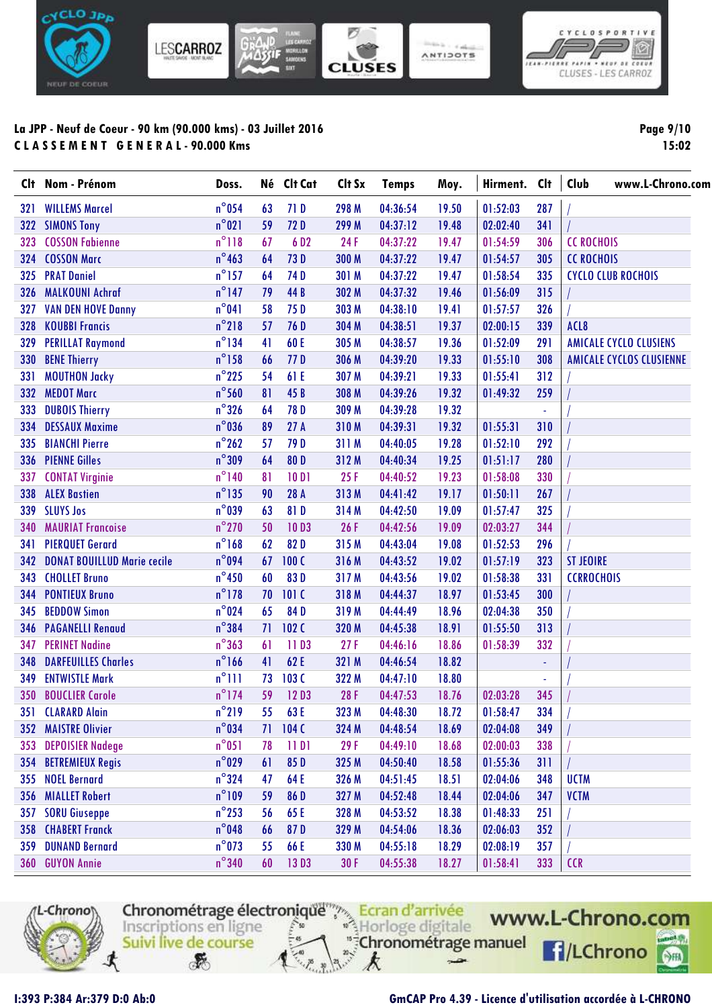

**Page 9/10 15:02**

 $\boxed{\circ}$ 

eur as cosul

|     | Clt Nom - Prénom                   | Doss.           |    | Né Clt Cat       | Clt Sx | <b>Temps</b> | Moy.  | Hirment. | <b>Clt</b> | Club<br>www.L-Chrono.com        |
|-----|------------------------------------|-----------------|----|------------------|--------|--------------|-------|----------|------------|---------------------------------|
| 321 | <b>WILLEMS Marcel</b>              | $n^{\circ}$ 054 | 63 | 71 D             | 298 M  | 04:36:54     | 19.50 | 01:52:03 | 287        |                                 |
|     | 322 SIMONS Tony                    | $n^{\circ}021$  | 59 | 72D              | 299 M  | 04:37:12     | 19.48 | 02:02:40 | 341        |                                 |
| 323 | <b>COSSON Fabienne</b>             | $n^{\circ}118$  | 67 | 6 D <sub>2</sub> | 24F    | 04:37:22     | 19.47 | 01:54:59 | 306        | <b>CC ROCHOIS</b>               |
| 324 | <b>COSSON Marc</b>                 | $n^{\circ}$ 463 | 64 | 73D              | 300 M  | 04:37:22     | 19.47 | 01:54:57 | 305        | <b>CC ROCHOIS</b>               |
| 325 | <b>PRAT Daniel</b>                 | $n^{\circ}$ 157 | 64 | 74 D             | 301 M  | 04:37:22     | 19.47 | 01:58:54 | 335        | <b>CYCLO CLUB ROCHOIS</b>       |
| 326 | <b>MALKOUNI Achraf</b>             | $n^{\circ}$ 147 | 79 | 44 B             | 302 M  | 04:37:32     | 19.46 | 01:56:09 | 315        |                                 |
| 327 | <b>VAN DEN HOVE Danny</b>          | $n^{\circ}041$  | 58 | 75 D             | 303 M  | 04:38:10     | 19.41 | 01:57:57 | 326        |                                 |
| 328 | <b>KOUBBI Francis</b>              | $n^{\circ}$ 218 | 57 | 76 D             | 304 M  | 04:38:51     | 19.37 | 02:00:15 | 339        | ACL8                            |
| 329 | <b>PERILLAT Raymond</b>            | $n^{\circ}$ 134 | 41 | 60 E             | 305 M  | 04:38:57     | 19.36 | 01:52:09 | 291        | <b>AMICALE CYCLO CLUSIENS</b>   |
| 330 | <b>BENE Thierry</b>                | $n^{\circ}$ 158 | 66 | 77D              | 306 M  | 04:39:20     | 19.33 | 01:55:10 | 308        | <b>AMICALE CYCLOS CLUSIENNE</b> |
| 331 | <b>MOUTHON Jacky</b>               | $n^{\circ}$ 225 | 54 | 61 E             | 307 M  | 04:39:21     | 19.33 | 01:55:41 | 312        |                                 |
| 332 | <b>MEDOT Marc</b>                  | $n^{\circ}$ 560 | 81 | 45 B             | 308 M  | 04:39:26     | 19.32 | 01:49:32 | 259        |                                 |
| 333 | <b>DUBOIS Thierry</b>              | $n^{\circ}326$  | 64 | 78 D             | 309 M  | 04:39:28     | 19.32 |          |            |                                 |
| 334 | <b>DESSAUX Maxime</b>              | $n^{\circ}$ 036 | 89 | 27A              | 310M   | 04:39:31     | 19.32 | 01:55:31 | 310        |                                 |
| 335 | <b>BIANCHI Pierre</b>              | $n^{\circ}262$  | 57 | 79 D             | 311 M  | 04:40:05     | 19.28 | 01:52:10 | 292        |                                 |
| 336 | <b>PIENNE Gilles</b>               | $n^{\circ}309$  | 64 | 80D              | 312 M  | 04:40:34     | 19.25 | 01:51:17 | 280        |                                 |
| 337 | <b>CONTAT Virginie</b>             | $n^{\circ}$ 140 | 81 | 10D1             | 25F    | 04:40:52     | 19.23 | 01:58:08 | 330        |                                 |
| 338 | <b>ALEX Bastien</b>                | $n^{\circ}$ 135 | 90 | 28 A             | 313M   | 04:41:42     | 19.17 | 01:50:11 | 267        |                                 |
| 339 | <b>SLUYS Jos</b>                   | $n^{\circ}$ 039 | 63 | 81D              | 314 M  | 04:42:50     | 19.09 | 01:57:47 | 325        |                                 |
| 340 | <b>MAURIAT Francoise</b>           | $n^{\circ}$ 270 | 50 | 10D3             | 26 F   | 04:42:56     | 19.09 | 02:03:27 | 344        |                                 |
| 341 | <b>PIERQUET Gerard</b>             | $n^{\circ}$ 168 | 62 | 82D              | 315 M  | 04:43:04     | 19.08 | 01:52:53 | 296        |                                 |
| 342 | <b>DONAT BOUILLUD Marie cecile</b> | $n^{\circ}$ 094 | 67 | 100C             | 316 M  | 04:43:52     | 19.02 | 01:57:19 | 323        | <b>ST JEOIRE</b>                |
| 343 | <b>CHOLLET Bruno</b>               | $n^{\circ}$ 450 | 60 | 83D              | 317 M  | 04:43:56     | 19.02 | 01:58:38 | 331        | <b>CCRROCHOIS</b>               |
| 344 | <b>PONTIEUX Bruno</b>              | $n^{\circ}$ 178 | 70 | 101C             | 318 M  | 04:44:37     | 18.97 | 01:53:45 | 300        |                                 |
| 345 | <b>BEDDOW Simon</b>                | $n^{\circ}024$  | 65 | 84D              | 319 M  | 04:44:49     | 18.96 | 02:04:38 | 350        |                                 |
| 346 | <b>PAGANELLI Renaud</b>            | $n^{\circ}$ 384 | 71 | 102C             | 320 M  | 04:45:38     | 18.91 | 01:55:50 | 313        |                                 |
| 347 | <b>PERINET Nadine</b>              | $n^{\circ}363$  | 61 | 11D3             | 27F    | 04:46:16     | 18.86 | 01:58:39 | 332        |                                 |
| 348 | <b>DARFEUILLES Charles</b>         | $n^{\circ}$ 166 | 41 | 62 E             | 321 M  | 04:46:54     | 18.82 |          | ÷          |                                 |
| 349 | <b>ENTWISTLE Mark</b>              | $n^{\circ}$ 111 | 73 | 103C             | 322 M  | 04:47:10     | 18.80 |          |            |                                 |
| 350 | <b>BOUCLIER Carole</b>             | $n^{\circ}$ 174 | 59 | 12D3             | 28 F   | 04:47:53     | 18.76 | 02:03:28 | 345        |                                 |
|     | 351 CLARARD Alain                  | $n^{\circ}$ 219 |    | 55 63 E          | 323 M  | 04:48:30     | 18.72 | 01:58:47 | 334        |                                 |
| 352 | <b>MAISTRE Olivier</b>             | $n^{\circ}$ 034 | 71 | 104C             | 324 M  | 04:48:54     | 18.69 | 02:04:08 | 349        |                                 |
| 353 | <b>DEPOISIER Nadege</b>            | $n^{\circ}051$  | 78 | 11D1             | 29F    | 04:49:10     | 18.68 | 02:00:03 | 338        |                                 |
| 354 | <b>BETREMIEUX Regis</b>            | $n^{\circ}$ 029 | 61 | 85D              | 325 M  | 04:50:40     | 18.58 | 01:55:36 | 311        |                                 |
| 355 | <b>NOEL Bernard</b>                | $n^{\circ}$ 324 | 47 | 64 E             | 326 M  | 04:51:45     | 18.51 | 02:04:06 | 348        | <b>UCTM</b>                     |
| 356 | <b>MIALLET Robert</b>              | $n^{\circ}109$  | 59 | 86 D             | 327 M  | 04:52:48     | 18.44 | 02:04:06 | 347        | <b>VCTM</b>                     |
| 357 | <b>SORU Giuseppe</b>               | $n^{\circ}$ 253 | 56 | 65 E             | 328 M  | 04:53:52     | 18.38 | 01:48:33 | 251        |                                 |
| 358 | <b>CHABERT Franck</b>              | $n^{\circ}$ 048 | 66 | 87D              | 329 M  | 04:54:06     | 18.36 | 02:06:03 | 352        |                                 |
| 359 | <b>DUNAND Bernard</b>              | $n^{\circ}$ 073 | 55 | 66 E             | 330 M  | 04:55:18     | 18.29 | 02:08:19 | 357        |                                 |
|     | 360 GUYON Annie                    | $n^{\circ}340$  | 60 | 13D3             | 30F    | 04:55:38     | 18.27 | 01:58:41 | 333        | <b>CCR</b>                      |



Chronométrage électronique de la d'arrivée digitale WWI<br>
Inscriptions en ligne<br>
Suivi live de course  $\mathcal{F}$ k



 $\rightarrow$